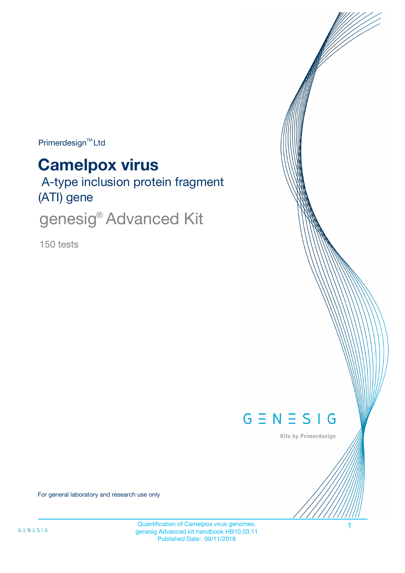Primerdesign<sup>™</sup>Ltd

# **Camelpox virus**

 A-type inclusion protein fragment (ATI) gene

genesig<sup>®</sup> Advanced Kit

150 tests



Kits by Primerdesign

For general laboratory and research use only

Quantification of Camelpox virus genomes. genesig Advanced kit handbook HB10.03.11 Published Date: 09/11/2018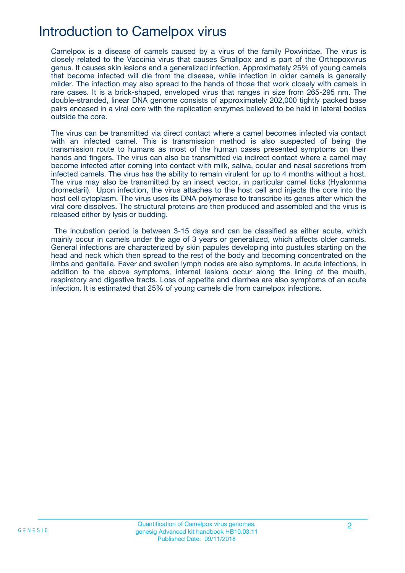# Introduction to Camelpox virus

Camelpox is a disease of camels caused by a virus of the family Poxviridae. The virus is closely related to the Vaccinia virus that causes Smallpox and is part of the Orthopoxvirus genus. It causes skin lesions and a generalized infection. Approximately 25% of young camels that become infected will die from the disease, while infection in older camels is generally milder. The infection may also spread to the hands of those that work closely with camels in rare cases. It is a brick-shaped, enveloped virus that ranges in size from 265-295 nm. The double-stranded, linear DNA genome consists of approximately 202,000 tightly packed base pairs encased in a viral core with the replication enzymes believed to be held in lateral bodies outside the core.

The virus can be transmitted via direct contact where a camel becomes infected via contact with an infected camel. This is transmission method is also suspected of being the transmission route to humans as most of the human cases presented symptoms on their hands and fingers. The virus can also be transmitted via indirect contact where a camel may become infected after coming into contact with milk, saliva, ocular and nasal secretions from infected camels. The virus has the ability to remain virulent for up to 4 months without a host. The virus may also be transmitted by an insect vector, in particular camel ticks (Hyalomma dromedarii). Upon infection, the virus attaches to the host cell and injects the core into the host cell cytoplasm. The virus uses its DNA polymerase to transcribe its genes after which the viral core dissolves. The structural proteins are then produced and assembled and the virus is released either by lysis or budding.

The incubation period is between 3-15 days and can be classified as either acute, which mainly occur in camels under the age of 3 years or generalized, which affects older camels. General infections are characterized by skin papules developing into pustules starting on the head and neck which then spread to the rest of the body and becoming concentrated on the limbs and genitalia. Fever and swollen lymph nodes are also symptoms. In acute infections, in addition to the above symptoms, internal lesions occur along the lining of the mouth, respiratory and digestive tracts. Loss of appetite and diarrhea are also symptoms of an acute infection. It is estimated that 25% of young camels die from camelpox infections.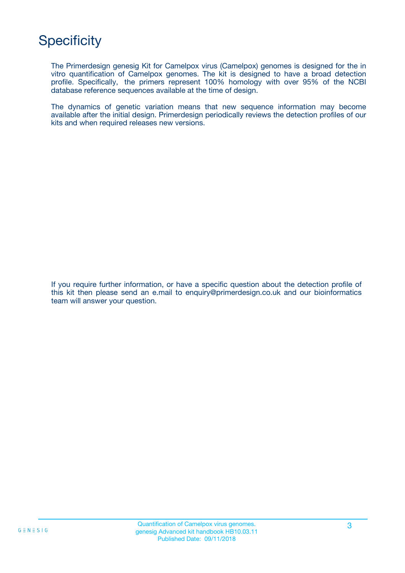# **Specificity**

The Primerdesign genesig Kit for Camelpox virus (Camelpox) genomes is designed for the in vitro quantification of Camelpox genomes. The kit is designed to have a broad detection profile. Specifically, the primers represent 100% homology with over 95% of the NCBI database reference sequences available at the time of design.

The dynamics of genetic variation means that new sequence information may become available after the initial design. Primerdesign periodically reviews the detection profiles of our kits and when required releases new versions.

If you require further information, or have a specific question about the detection profile of this kit then please send an e.mail to enquiry@primerdesign.co.uk and our bioinformatics team will answer your question.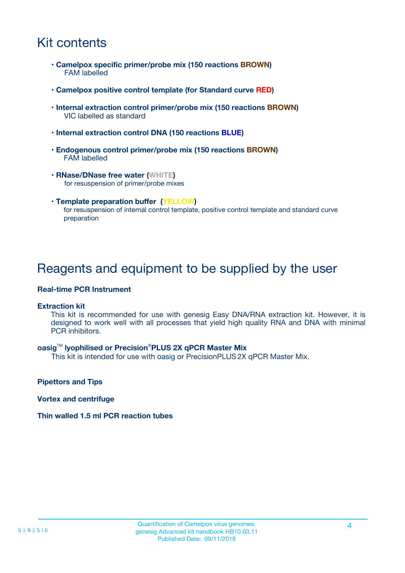# Kit contents

- **Camelpox specific primer/probe mix (150 reactions BROWN)** FAM labelled
- **Camelpox positive control template (for Standard curve RED)**
- **Internal extraction control primer/probe mix (150 reactions BROWN)** VIC labelled as standard
- **Internal extraction control DNA (150 reactions BLUE)**
- **Endogenous control primer/probe mix (150 reactions BROWN)** FAM labelled
- **RNase/DNase free water (WHITE)** for resuspension of primer/probe mixes
- **Template preparation buffer (YELLOW)** for resuspension of internal control template, positive control template and standard curve preparation

## Reagents and equipment to be supplied by the user

#### **Real-time PCR Instrument**

#### **Extraction kit**

This kit is recommended for use with genesig Easy DNA/RNA extraction kit. However, it is designed to work well with all processes that yield high quality RNA and DNA with minimal PCR inhibitors.

#### **oasig**TM **lyophilised or Precision**®**PLUS 2X qPCR Master Mix**

This kit is intended for use with oasig or PrecisionPLUS2X qPCR Master Mix.

**Pipettors and Tips**

**Vortex and centrifuge**

#### **Thin walled 1.5 ml PCR reaction tubes**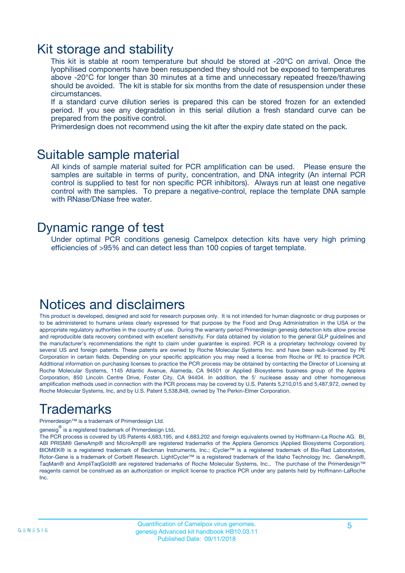### Kit storage and stability

This kit is stable at room temperature but should be stored at -20ºC on arrival. Once the lyophilised components have been resuspended they should not be exposed to temperatures above -20°C for longer than 30 minutes at a time and unnecessary repeated freeze/thawing should be avoided. The kit is stable for six months from the date of resuspension under these circumstances.

If a standard curve dilution series is prepared this can be stored frozen for an extended period. If you see any degradation in this serial dilution a fresh standard curve can be prepared from the positive control.

Primerdesign does not recommend using the kit after the expiry date stated on the pack.

### Suitable sample material

All kinds of sample material suited for PCR amplification can be used. Please ensure the samples are suitable in terms of purity, concentration, and DNA integrity (An internal PCR control is supplied to test for non specific PCR inhibitors). Always run at least one negative control with the samples. To prepare a negative-control, replace the template DNA sample with RNase/DNase free water.

### Dynamic range of test

Under optimal PCR conditions genesig Camelpox detection kits have very high priming efficiencies of >95% and can detect less than 100 copies of target template.

### Notices and disclaimers

This product is developed, designed and sold for research purposes only. It is not intended for human diagnostic or drug purposes or to be administered to humans unless clearly expressed for that purpose by the Food and Drug Administration in the USA or the appropriate regulatory authorities in the country of use. During the warranty period Primerdesign genesig detection kits allow precise and reproducible data recovery combined with excellent sensitivity. For data obtained by violation to the general GLP guidelines and the manufacturer's recommendations the right to claim under guarantee is expired. PCR is a proprietary technology covered by several US and foreign patents. These patents are owned by Roche Molecular Systems Inc. and have been sub-licensed by PE Corporation in certain fields. Depending on your specific application you may need a license from Roche or PE to practice PCR. Additional information on purchasing licenses to practice the PCR process may be obtained by contacting the Director of Licensing at Roche Molecular Systems, 1145 Atlantic Avenue, Alameda, CA 94501 or Applied Biosystems business group of the Applera Corporation, 850 Lincoln Centre Drive, Foster City, CA 94404. In addition, the 5' nuclease assay and other homogeneous amplification methods used in connection with the PCR process may be covered by U.S. Patents 5,210,015 and 5,487,972, owned by Roche Molecular Systems, Inc, and by U.S. Patent 5,538,848, owned by The Perkin-Elmer Corporation.

# Trademarks

Primerdesign™ is a trademark of Primerdesign Ltd.

genesig $^\circledR$  is a registered trademark of Primerdesign Ltd.

The PCR process is covered by US Patents 4,683,195, and 4,683,202 and foreign equivalents owned by Hoffmann-La Roche AG. BI, ABI PRISM® GeneAmp® and MicroAmp® are registered trademarks of the Applera Genomics (Applied Biosystems Corporation). BIOMEK® is a registered trademark of Beckman Instruments, Inc.; iCycler™ is a registered trademark of Bio-Rad Laboratories, Rotor-Gene is a trademark of Corbett Research. LightCycler™ is a registered trademark of the Idaho Technology Inc. GeneAmp®, TaqMan® and AmpliTaqGold® are registered trademarks of Roche Molecular Systems, Inc., The purchase of the Primerdesign™ reagents cannot be construed as an authorization or implicit license to practice PCR under any patents held by Hoffmann-LaRoche Inc.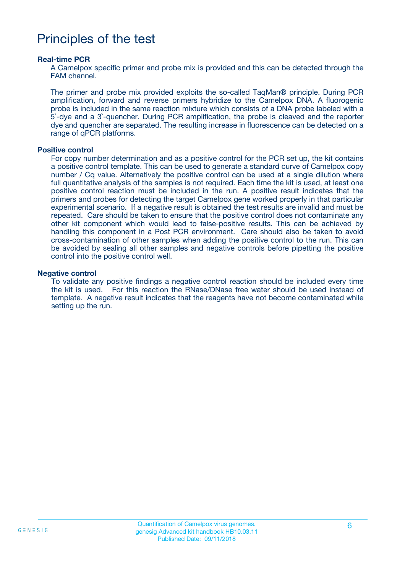## Principles of the test

#### **Real-time PCR**

A Camelpox specific primer and probe mix is provided and this can be detected through the FAM channel.

The primer and probe mix provided exploits the so-called TaqMan® principle. During PCR amplification, forward and reverse primers hybridize to the Camelpox DNA. A fluorogenic probe is included in the same reaction mixture which consists of a DNA probe labeled with a 5`-dye and a 3`-quencher. During PCR amplification, the probe is cleaved and the reporter dye and quencher are separated. The resulting increase in fluorescence can be detected on a range of qPCR platforms.

#### **Positive control**

For copy number determination and as a positive control for the PCR set up, the kit contains a positive control template. This can be used to generate a standard curve of Camelpox copy number / Cq value. Alternatively the positive control can be used at a single dilution where full quantitative analysis of the samples is not required. Each time the kit is used, at least one positive control reaction must be included in the run. A positive result indicates that the primers and probes for detecting the target Camelpox gene worked properly in that particular experimental scenario. If a negative result is obtained the test results are invalid and must be repeated. Care should be taken to ensure that the positive control does not contaminate any other kit component which would lead to false-positive results. This can be achieved by handling this component in a Post PCR environment. Care should also be taken to avoid cross-contamination of other samples when adding the positive control to the run. This can be avoided by sealing all other samples and negative controls before pipetting the positive control into the positive control well.

#### **Negative control**

To validate any positive findings a negative control reaction should be included every time the kit is used. For this reaction the RNase/DNase free water should be used instead of template. A negative result indicates that the reagents have not become contaminated while setting up the run.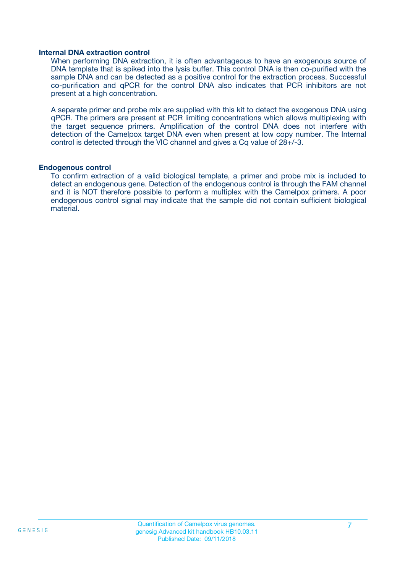#### **Internal DNA extraction control**

When performing DNA extraction, it is often advantageous to have an exogenous source of DNA template that is spiked into the lysis buffer. This control DNA is then co-purified with the sample DNA and can be detected as a positive control for the extraction process. Successful co-purification and qPCR for the control DNA also indicates that PCR inhibitors are not present at a high concentration.

A separate primer and probe mix are supplied with this kit to detect the exogenous DNA using qPCR. The primers are present at PCR limiting concentrations which allows multiplexing with the target sequence primers. Amplification of the control DNA does not interfere with detection of the Camelpox target DNA even when present at low copy number. The Internal control is detected through the VIC channel and gives a Cq value of 28+/-3.

#### **Endogenous control**

To confirm extraction of a valid biological template, a primer and probe mix is included to detect an endogenous gene. Detection of the endogenous control is through the FAM channel and it is NOT therefore possible to perform a multiplex with the Camelpox primers. A poor endogenous control signal may indicate that the sample did not contain sufficient biological material.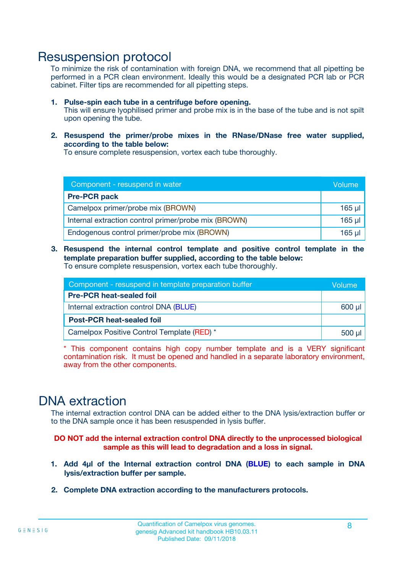### Resuspension protocol

To minimize the risk of contamination with foreign DNA, we recommend that all pipetting be performed in a PCR clean environment. Ideally this would be a designated PCR lab or PCR cabinet. Filter tips are recommended for all pipetting steps.

- **1. Pulse-spin each tube in a centrifuge before opening.** This will ensure lyophilised primer and probe mix is in the base of the tube and is not spilt upon opening the tube.
- **2. Resuspend the primer/probe mixes in the RNase/DNase free water supplied, according to the table below:**

To ensure complete resuspension, vortex each tube thoroughly.

| Component - resuspend in water                       |          |  |
|------------------------------------------------------|----------|--|
| <b>Pre-PCR pack</b>                                  |          |  |
| Camelpox primer/probe mix (BROWN)                    | $165$ µl |  |
| Internal extraction control primer/probe mix (BROWN) | $165$ µl |  |
| Endogenous control primer/probe mix (BROWN)          | $165$ µl |  |

**3. Resuspend the internal control template and positive control template in the template preparation buffer supplied, according to the table below:** To ensure complete resuspension, vortex each tube thoroughly.

| Component - resuspend in template preparation buffer |  |  |  |
|------------------------------------------------------|--|--|--|
| <b>Pre-PCR heat-sealed foil</b>                      |  |  |  |
| Internal extraction control DNA (BLUE)               |  |  |  |
| <b>Post-PCR heat-sealed foil</b>                     |  |  |  |
| Camelpox Positive Control Template (RED) *           |  |  |  |

\* This component contains high copy number template and is a VERY significant contamination risk. It must be opened and handled in a separate laboratory environment, away from the other components.

### DNA extraction

The internal extraction control DNA can be added either to the DNA lysis/extraction buffer or to the DNA sample once it has been resuspended in lysis buffer.

**DO NOT add the internal extraction control DNA directly to the unprocessed biological sample as this will lead to degradation and a loss in signal.**

- **1. Add 4µl of the Internal extraction control DNA (BLUE) to each sample in DNA lysis/extraction buffer per sample.**
- **2. Complete DNA extraction according to the manufacturers protocols.**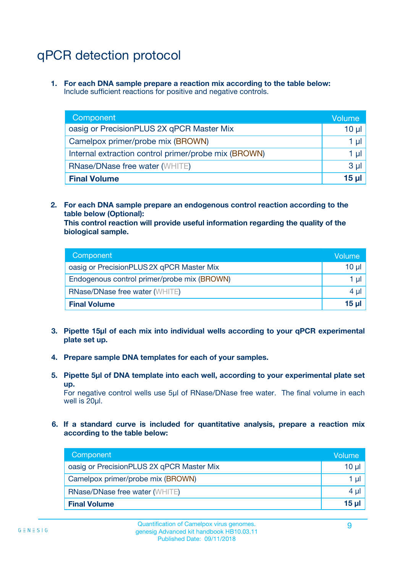# qPCR detection protocol

**1. For each DNA sample prepare a reaction mix according to the table below:** Include sufficient reactions for positive and negative controls.

| Component                                            | Volume   |
|------------------------------------------------------|----------|
| oasig or PrecisionPLUS 2X qPCR Master Mix            | 10 $\mu$ |
| Camelpox primer/probe mix (BROWN)                    | 1 µl     |
| Internal extraction control primer/probe mix (BROWN) | 1 µl     |
| <b>RNase/DNase free water (WHITE)</b>                | $3 \mu$  |
| <b>Final Volume</b>                                  | 15 µl    |

**2. For each DNA sample prepare an endogenous control reaction according to the table below (Optional):**

**This control reaction will provide useful information regarding the quality of the biological sample.**

| Component                                   | Volume   |
|---------------------------------------------|----------|
| oasig or PrecisionPLUS 2X qPCR Master Mix   | $10 \mu$ |
| Endogenous control primer/probe mix (BROWN) | 1 µI     |
| <b>RNase/DNase free water (WHITE)</b>       | $4 \mu$  |
| <b>Final Volume</b>                         | 15 µl    |

- **3. Pipette 15µl of each mix into individual wells according to your qPCR experimental plate set up.**
- **4. Prepare sample DNA templates for each of your samples.**
- **5. Pipette 5µl of DNA template into each well, according to your experimental plate set up.**

For negative control wells use 5µl of RNase/DNase free water. The final volume in each well is 20ul.

**6. If a standard curve is included for quantitative analysis, prepare a reaction mix according to the table below:**

| Component                                 | Volume   |
|-------------------------------------------|----------|
| oasig or PrecisionPLUS 2X qPCR Master Mix | 10 µl    |
| Camelpox primer/probe mix (BROWN)         | 1 µI     |
| <b>RNase/DNase free water (WHITE)</b>     | $4 \mu$  |
| <b>Final Volume</b>                       | $15 \mu$ |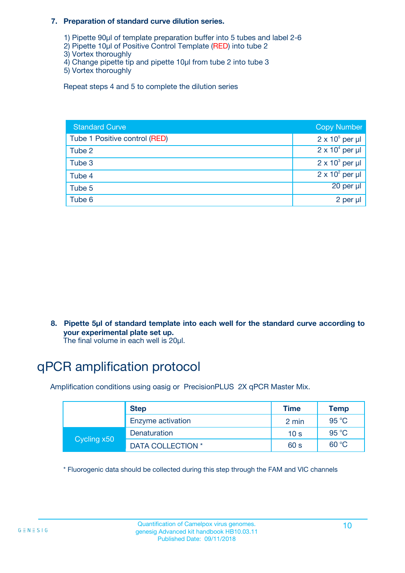#### **7. Preparation of standard curve dilution series.**

- 1) Pipette 90µl of template preparation buffer into 5 tubes and label 2-6
- 2) Pipette 10µl of Positive Control Template (RED) into tube 2
- 3) Vortex thoroughly
- 4) Change pipette tip and pipette 10µl from tube 2 into tube 3
- 5) Vortex thoroughly

Repeat steps 4 and 5 to complete the dilution series

| <b>Standard Curve</b>         | <b>Copy Number</b>     |
|-------------------------------|------------------------|
| Tube 1 Positive control (RED) | $2 \times 10^5$ per µl |
| Tube 2                        | $2 \times 10^4$ per µl |
| Tube 3                        | $2 \times 10^3$ per µl |
| Tube 4                        | $2 \times 10^2$ per µl |
| Tube 5                        | 20 per µl              |
| Tube 6                        | 2 per µl               |

**8. Pipette 5µl of standard template into each well for the standard curve according to your experimental plate set up.**

#### The final volume in each well is 20µl.

# qPCR amplification protocol

Amplification conditions using oasig or PrecisionPLUS 2X qPCR Master Mix.

|             | <b>Step</b>       | <b>Time</b>     | Temp    |
|-------------|-------------------|-----------------|---------|
|             | Enzyme activation | 2 min           | 95 °C   |
| Cycling x50 | Denaturation      | 10 <sub>s</sub> | 95 $°C$ |
|             | DATA COLLECTION * | 60 s            | 60 °C   |

\* Fluorogenic data should be collected during this step through the FAM and VIC channels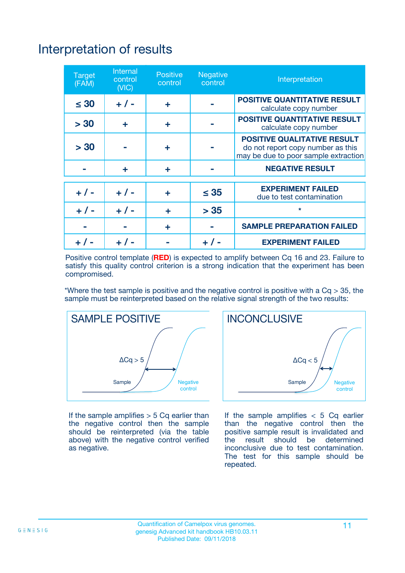# Interpretation of results

| <b>Target</b><br>(FAM) | <b>Internal</b><br>control<br>(NIC) | <b>Positive</b><br>control | <b>Negative</b><br>control | Interpretation                                                                                                  |
|------------------------|-------------------------------------|----------------------------|----------------------------|-----------------------------------------------------------------------------------------------------------------|
| $\leq 30$              | $+ 1 -$                             | ÷                          |                            | <b>POSITIVE QUANTITATIVE RESULT</b><br>calculate copy number                                                    |
| > 30                   | ٠                                   | ÷                          |                            | <b>POSITIVE QUANTITATIVE RESULT</b><br>calculate copy number                                                    |
| > 30                   |                                     | ÷                          |                            | <b>POSITIVE QUALITATIVE RESULT</b><br>do not report copy number as this<br>may be due to poor sample extraction |
|                        | ÷                                   | ÷                          |                            | <b>NEGATIVE RESULT</b>                                                                                          |
| $+ 1 -$                | $+ 1 -$                             | ÷                          | $\leq$ 35                  | <b>EXPERIMENT FAILED</b><br>due to test contamination                                                           |
| $+$ / -                | $+ 1 -$                             | ÷                          | > 35                       | $\star$                                                                                                         |
|                        |                                     | ÷                          |                            | <b>SAMPLE PREPARATION FAILED</b>                                                                                |
|                        |                                     |                            | $+$ /                      | <b>EXPERIMENT FAILED</b>                                                                                        |

Positive control template (**RED**) is expected to amplify between Cq 16 and 23. Failure to satisfy this quality control criterion is a strong indication that the experiment has been compromised.

\*Where the test sample is positive and the negative control is positive with a  $Ca > 35$ , the sample must be reinterpreted based on the relative signal strength of the two results:



If the sample amplifies  $> 5$  Cq earlier than the negative control then the sample should be reinterpreted (via the table above) with the negative control verified as negative.



If the sample amplifies  $< 5$  Cq earlier than the negative control then the positive sample result is invalidated and<br>the result should be determined  $the$  result should be inconclusive due to test contamination. The test for this sample should be repeated.